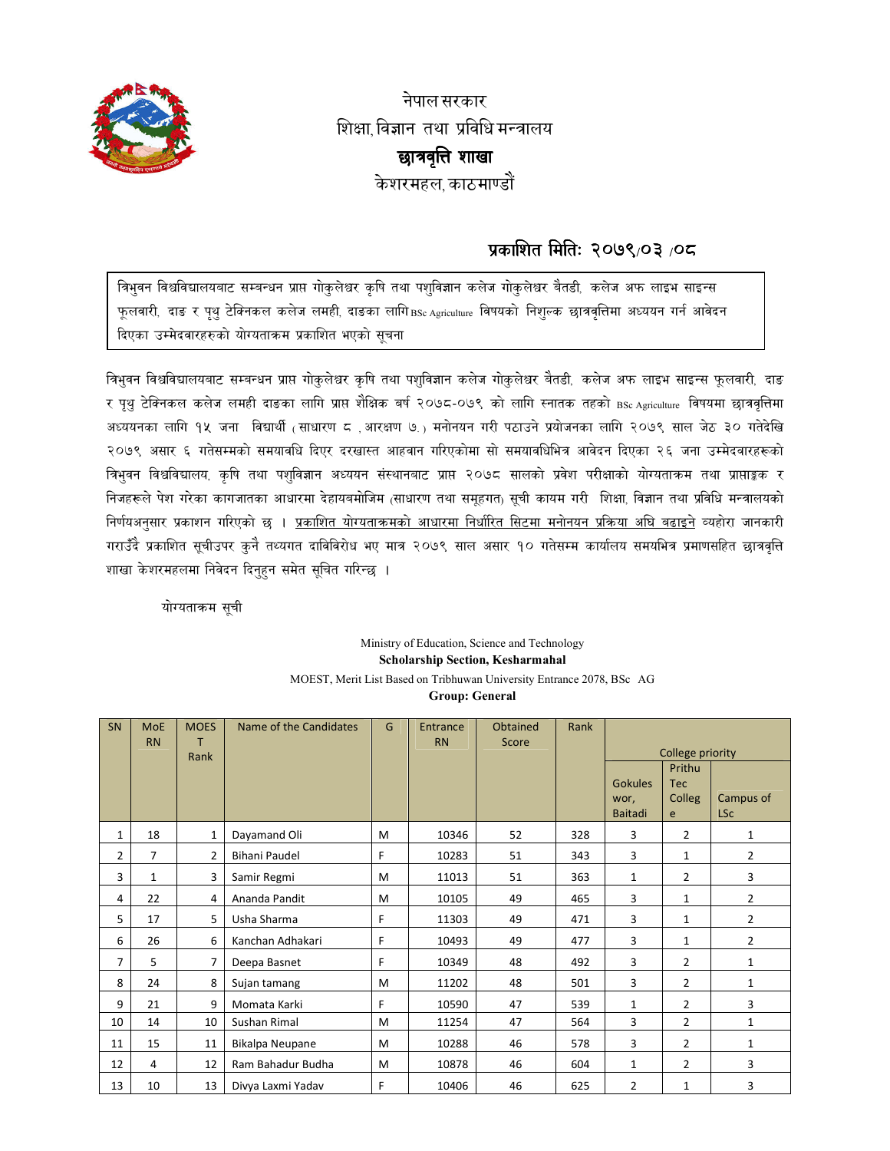

नेपाल सरकार शिक्षा विज्ञान तथा प्रविधि मन्त्रालय छात्रवृत्ति शाखा केशरमहल काठमाण्डों

## प्रकाशित मितिः २०७९/०३ /०८

त्रिभुवन विश्वविद्यालयबाट सम्बन्धन प्राप्त गोकुलेश्वर कृषि तथा पशुविज्ञान कलेज गोकुलेश्वर बैतडी, कलेज अफ लाइभ साइन्स फूलवारी, दाङ र पृथु टेक्निकल कलेज लमही, दाङका लागि BSc Agriculture विषयको निशुल्क छात्रवृत्तिमा अध्ययन गर्न आवेदन दिएका उम्मेदवारहरुको योग्यताक्रम प्रकाशित भएको सूचना

त्रिभुवन विश्वविद्यालयबाट सम्बन्धन प्राप्त गोकुलेश्वर कृषि तथा पशुविज्ञान कलेज गोकुलेश्वर बैतडी, कलेज अफ लाइभ साइन्स फुलवारी, दाङ र पृथु टेक्निकल कलेज लमही दाङका लागि प्राप्त शैक्षिक बर्ष २०७८-०७९ को लागि स्नातक तहको BSc Agriculture विषयमा छात्रवृत्तिमा अध्ययनका लागि १५ जना विद्यार्थी (साधारण ८ बारक्षण ७.) मनोनयन गरी पठाउने प्रयोजनका लागि २०७९ साल जेठ ३० गतेदेखि २०७९ असार ६ गतेसम्मको समयावधि दिएर दरखास्त आहवान गरिएकोमा सो समयावधिभित्र आवेदन दिएका २६ जना उम्मेदवारहरूको त्रिभुवन विश्वविद्यालय, कृषि तथा पशुविज्ञान अध्ययन संस्थानबाट प्राप्त २०७८ सालको प्रवेश परीक्षाको योग्यताकम तथा प्राप्ताङ्कक र निजहरूले पेश गरेका कागजातका आधारमा देहायबमोजिम (साधारण तथा समहगत) सूची कायम गरी शिक्षा विज्ञान तथा प्रविधि मन्त्रालयको निर्णयअनुसार प्रकाशन गरिएको छ । <u>प्रकाशित योग्यताक्रमको आधारमा निर्धारित सिटमा मनोनयन प्रक्रिया अघि बढाइने</u> व्यहोरा जानकारी गराउँदै प्रकाशित सूचीउपर कुनै तथ्यगत दाविविरोध भए मात्र २०७९ साल असार १० गतेसम्म कार्यालय समयभित्र प्रमाणसहित छात्रवृत्ति शाखा केशरमहलमा निवेदन दिनुहन समेत सुचित गरिन्छ ।

योग्यताक्रम सूची

## Ministry of Education, Science and Technology **Scholarship Section, Kesharmahal** MOEST, Merit List Based on Tribhuwan University Entrance 2078, BSc AG **Group: General**

| SN             | <b>MoE</b><br><b>RN</b> | <b>MOES</b><br>т<br>Rank | Name of the Candidates | G | Entrance<br><b>RN</b> | Obtained<br>Score | Rank | College priority<br>Prithu<br><b>Gokules</b><br><b>Tec</b><br>Colleg<br>Campus of<br>wor,<br>Baitadi<br><b>LSc</b><br>e |                |                |
|----------------|-------------------------|--------------------------|------------------------|---|-----------------------|-------------------|------|-------------------------------------------------------------------------------------------------------------------------|----------------|----------------|
| 1              | 18                      | $\mathbf{1}$             | Dayamand Oli           | M | 10346                 | 52                | 328  | 3                                                                                                                       | $\overline{2}$ | $\mathbf{1}$   |
| $\overline{2}$ | 7                       | $\overline{2}$           | <b>Bihani Paudel</b>   | F | 10283                 | 51                | 343  | 3                                                                                                                       | 1              | $\overline{2}$ |
| 3              | 1                       | 3                        | Samir Regmi            | M | 11013                 | 51                | 363  | 1                                                                                                                       | 2              | 3              |
| 4              | 22                      | 4                        | Ananda Pandit          | M | 10105                 | 49                | 465  | 3                                                                                                                       | $\mathbf{1}$   | $\overline{2}$ |
| 5              | 17                      | 5                        | Usha Sharma            | F | 11303                 | 49                | 471  | 3                                                                                                                       | 1              | $\overline{2}$ |
| 6              | 26                      | 6                        | Kanchan Adhakari       | F | 10493                 | 49                | 477  | 3                                                                                                                       | 1              | $\overline{2}$ |
| $\overline{7}$ | 5                       | $\overline{7}$           | Deepa Basnet           | F | 10349                 | 48                | 492  | 3                                                                                                                       | 2              | $\mathbf{1}$   |
| 8              | 24                      | 8                        | Sujan tamang           | M | 11202                 | 48                | 501  | 3                                                                                                                       | $\overline{2}$ | 1              |
| 9              | 21                      | 9                        | Momata Karki           | F | 10590                 | 47                | 539  | 1                                                                                                                       | 2              | 3              |
| 10             | 14                      | 10                       | Sushan Rimal           | M | 11254                 | 47                | 564  | 3                                                                                                                       | $\overline{2}$ | $\mathbf{1}$   |
| 11             | 15                      | 11                       | Bikalpa Neupane        | M | 10288                 | 46                | 578  | 3                                                                                                                       | $\overline{2}$ | 1              |
| 12             | $\overline{4}$          | 12                       | Ram Bahadur Budha      | M | 10878                 | 46                | 604  | 1                                                                                                                       | $\overline{2}$ | 3              |
| 13             | 10                      | 13                       | Divya Laxmi Yadav      | F | 10406                 | 46                | 625  | $\overline{2}$                                                                                                          | 1              | 3              |